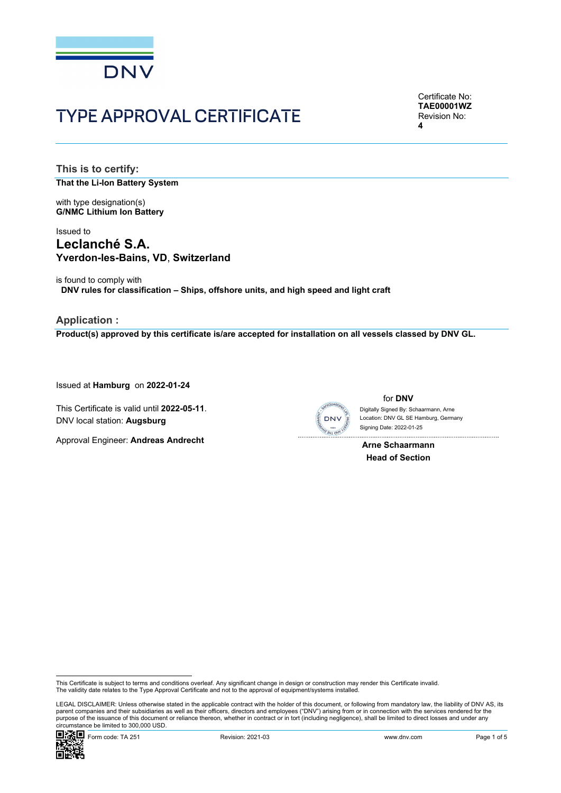

# TYPE APPROVAL CERTIFICATE

Certificate No: **TAE00001WZ** Revision No: **4** 

**This is to certify: That the Li-Ion Battery System**

with type designation(s) **G/NMC Lithium Ion Battery**

# Issued to **Leclanché S.A. Yverdon-les-Bains, VD**, **Switzerland**

is found to comply with **DNV rules for classification – Ships, offshore units, and high speed and light craft** 

**Application : Product(s) approved by this certificate is/are accepted for installation on all vessels classed by DNV GL.**

Issued at **Hamburg** on **2022-01-24**

This Certificate is valid until **2022-05-11**. DNV local station: **Augsburg**

Approval Engineer: **Andreas Andrecht**



for **DNV** Location: DNV GL SE Hamburg, Germany Digitally Signed By: Schaarmann, Arne

 **Arne Schaarmann Head of Section** 

Signing Date: 2022-01-25

This Certificate is subject to terms and conditions overleaf. Any significant change in design or construction may render this Certificate invalid.<br>The validity date relates to the Type Approval Certificate and not to the

 LEGAL DISCLAIMER: Unless otherwise stated in the applicable contract with the holder of this document, or following from mandatory law, the liability of DNV AS, its parent companies and their subsidiaries as well as their officers, directors and employees ("DNV") arising from or in connection with the services rendered for the purpose of the issuance of this document or reliance thereon, whether in contract or in tort (including negligence), shall be limited to direct losses and under any circumstance be limited to 300,000 USD.

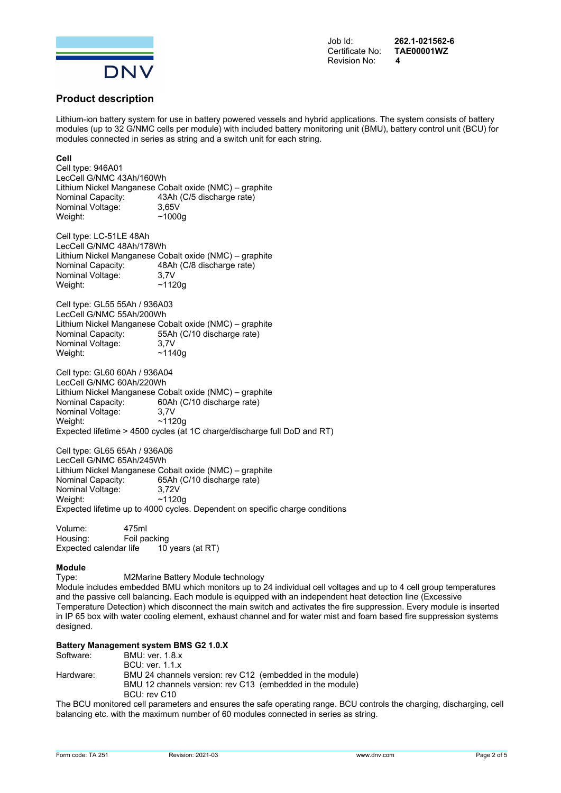

Job Id: **262.1-021562-6** 

# **Product description**

Lithium-ion battery system for use in battery powered vessels and hybrid applications. The system consists of battery modules (up to 32 G/NMC cells per module) with included battery monitoring unit (BMU), battery control unit (BCU) for modules connected in series as string and a switch unit for each string.

## **Cell**

Cell type: 946A01 LecCell G/NMC 43Ah/160Wh Lithium Nickel Manganese Cobalt oxide (NMC) – graphite Nominal Capacity: 43Ah (C/5 discharge rate) Nominal Voltage: 3,65V Weight:  $\sim$ 1000g Cell type: LC-51LE 48Ah LecCell G/NMC 48Ah/178Wh Lithium Nickel Manganese Cobalt oxide (NMC) – graphite Nominal Capacity: 48Ah (C/8 discharge rate) Nominal Voltage: 3,7V Weight: ~1120g Cell type: GL55 55Ah / 936A03 LecCell G/NMC 55Ah/200Wh Lithium Nickel Manganese Cobalt oxide (NMC) – graphite 55Ah (C/10 discharge rate) Nominal Voltage: 3,7V Weight:  $\sim$ 1140g Cell type: GL60 60Ah / 936A04 LecCell G/NMC 60Ah/220Wh Lithium Nickel Manganese Cobalt oxide (NMC) – graphite Nominal Capacity: 60Ah (C/10 discharge rate) Nominal Voltage: 3,7V Weight: ~1120g Expected lifetime > 4500 cycles (at 1C charge/discharge full DoD and RT) Cell type: GL65 65Ah / 936A06 LecCell G/NMC 65Ah/245Wh Lithium Nickel Manganese Cobalt oxide (NMC) – graphite Nominal Capacity: 65Ah (C/10 discharge rate)<br>Nominal Voltage: 3,72V Nominal Voltage: Weight: ~1120g Expected lifetime up to 4000 cycles. Dependent on specific charge conditions Volume: 475ml Housing: Foil packing Expected calendar life 10 years (at RT) **Module**  Type: M2Marine Battery Module technology Module includes embedded BMU which monitors up to 24 individual cell voltages and up to 4 cell group temperatures

and the passive cell balancing. Each module is equipped with an independent heat detection line (Excessive Temperature Detection) which disconnect the main switch and activates the fire suppression. Every module is inserted in IP 65 box with water cooling element, exhaust channel and for water mist and foam based fire suppression systems designed

#### **Battery Management system BMS G2 1.0.X**

| Software: | <b>BMU: ver. 1.8.x</b>                                    |  |  |  |  |
|-----------|-----------------------------------------------------------|--|--|--|--|
|           | <b>BCU:</b> ver. 1.1.x                                    |  |  |  |  |
| Hardware: | BMU 24 channels version: rev C12 (embedded in the module) |  |  |  |  |
|           | BMU 12 channels version: rev C13 (embedded in the module) |  |  |  |  |
|           | BCU: rev C10                                              |  |  |  |  |
|           |                                                           |  |  |  |  |

The BCU monitored cell parameters and ensures the safe operating range. BCU controls the charging, discharging, cell balancing etc. with the maximum number of 60 modules connected in series as string.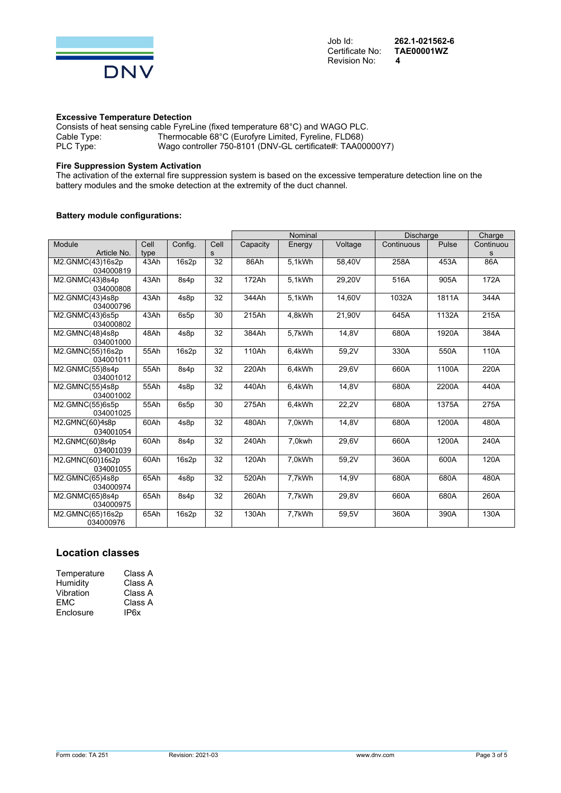

## **Excessive Temperature Detection**

Consists of heat sensing cable FyreLine (fixed temperature 68°C) and WAGO PLC. Cable Type: Thermocable 68°C (Eurofyre Limited, Fyreline, FLD68)<br>PLC Type: Wago controller 750-8101 (DNV-GL certificate#: TAA00 Wago controller 750-8101 (DNV-GL certificate#: TAA00000Y7)

### **Fire Suppression System Activation**

The activation of the external fire suppression system is based on the excessive temperature detection line on the battery modules and the smoke detection at the extremity of the duct channel.

## **Battery module configurations:**

|                               |      |                  |      | Nominal  |        |         | <b>Discharge</b> |       | Charge             |
|-------------------------------|------|------------------|------|----------|--------|---------|------------------|-------|--------------------|
| Module                        | Cell | Config.          | Cell | Capacity | Energy | Voltage | Continuous       | Pulse | Continuou          |
| Article No.                   | type |                  | s    |          |        |         |                  |       | s                  |
| M2.GNMC(43)16s2p<br>034000819 | 43Ah | 16s2p            | 32   | 86Ah     | 5.1kWh | 58,40V  | 258A             | 453A  | 86A                |
| M2.GNMC(43)8s4p<br>034000808  | 43Ah | 8s4 <sub>p</sub> | 32   | 172Ah    | 5.1kWh | 29,20V  | 516A             | 905A  | 172A               |
| M2.GNMC(43)4s8p<br>034000796  | 43Ah | 4s8p             | 32   | 344Ah    | 5.1kWh | 14,60V  | 1032A            | 1811A | 344A               |
| M2.GNMC(43)6s5p<br>034000802  | 43Ah | 6s5p             | 30   | 215Ah    | 4,8kWh | 21,90V  | 645A             | 1132A | 215A               |
| M2.GMNC(48)4s8p<br>034001000  | 48Ah | 4s8p             | 32   | 384Ah    | 5,7kWh | 14,8V   | 680A             | 1920A | 384A               |
| M2.GMNC(55)16s2p<br>034001011 | 55Ah | 16s2p            | 32   | 110Ah    | 6,4kWh | 59,2V   | 330A             | 550A  | 110A               |
| M2.GNMC(55)8s4p<br>034001012  | 55Ah | 8s4p             | 32   | 220Ah    | 6,4kWh | 29,6V   | 660A             | 1100A | 220A               |
| M2.GMNC(55)4s8p<br>034001002  | 55Ah | 4s8p             | 32   | 440Ah    | 6,4kWh | 14,8V   | 680A             | 2200A | 440A               |
| M2.GMNC(55)6s5p<br>034001025  | 55Ah | 6s5p             | 30   | 275Ah    | 6,4kWh | 22,2V   | 680A             | 1375A | $\overline{2}$ 75A |
| M2.GMNC(60)4s8p<br>034001054  | 60Ah | 4s8p             | 32   | 480Ah    | 7,0kWh | 14,8V   | 680A             | 1200A | 480A               |
| M2.GNMC(60)8s4p<br>034001039  | 60Ah | 8s4p             | 32   | 240Ah    | 7.0kwh | 29.6V   | 660A             | 1200A | 240A               |
| M2.GMNC(60)16s2p<br>034001055 | 60Ah | 16s2p            | 32   | 120Ah    | 7,0kWh | 59,2V   | 360A             | 600A  | 120A               |
| M2.GMNC(65)4s8p<br>034000974  | 65Ah | 4s8p             | 32   | 520Ah    | 7,7kWh | 14,9V   | 680A             | 680A  | 480A               |
| M2.GNMC(65)8s4p<br>034000975  | 65Ah | 8s4p             | 32   | 260Ah    | 7,7kWh | 29.8V   | 660A             | 680A  | 260A               |
| M2.GMNC(65)16s2p<br>034000976 | 65Ah | 16s2p            | 32   | 130Ah    | 7,7kWh | 59,5V   | 360A             | 390A  | 130A               |

# **Location classes**

| Temperature | Class A |
|-------------|---------|
| Humidity    | Class A |
| Vibration   | Class A |
| EMC         | Class A |
| Enclosure   | IP6x    |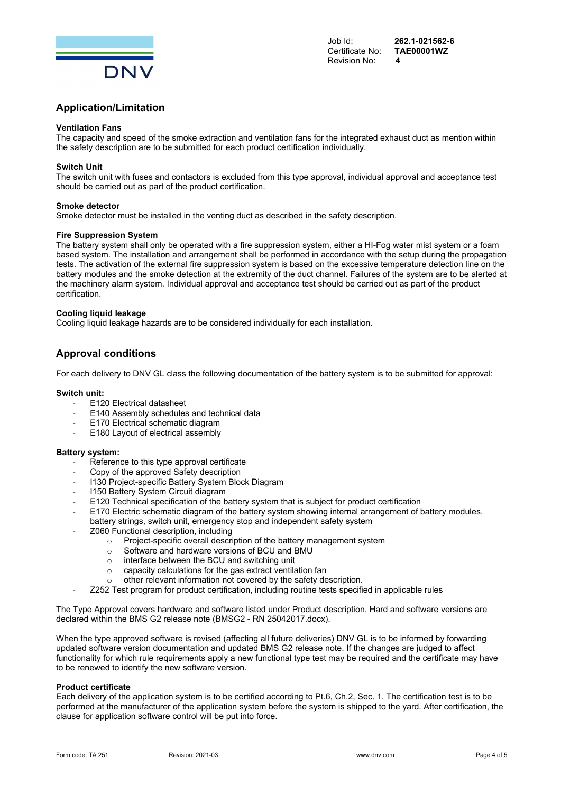

Certificate No: Revision No: **4** 

Job Id: **262.1-021562-6** 

# **Application/Limitation**

#### **Ventilation Fans**

The capacity and speed of the smoke extraction and ventilation fans for the integrated exhaust duct as mention within the safety description are to be submitted for each product certification individually.

#### **Switch Unit**

The switch unit with fuses and contactors is excluded from this type approval, individual approval and acceptance test should be carried out as part of the product certification.

#### **Smoke detector**

Smoke detector must be installed in the venting duct as described in the safety description.

#### **Fire Suppression System**

The battery system shall only be operated with a fire suppression system, either a HI-Fog water mist system or a foam based system. The installation and arrangement shall be performed in accordance with the setup during the propagation tests. The activation of the external fire suppression system is based on the excessive temperature detection line on the battery modules and the smoke detection at the extremity of the duct channel. Failures of the system are to be alerted at the machinery alarm system. Individual approval and acceptance test should be carried out as part of the product certification.

#### **Cooling liquid leakage**

Cooling liquid leakage hazards are to be considered individually for each installation.

# **Approval conditions**

For each delivery to DNV GL class the following documentation of the battery system is to be submitted for approval:

#### **Switch unit:**

- ‐ E120 Electrical datasheet
- ‐ E140 Assembly schedules and technical data
- ‐ E170 Electrical schematic diagram
- E180 Layout of electrical assembly

#### **Battery system:**

- Reference to this type approval certificate
- ‐ Copy of the approved Safety description
- ‐ I130 Project-specific Battery System Block Diagram
- ‐ I150 Battery System Circuit diagram
- E120 Technical specification of the battery system that is subject for product certification
- ‐ E170 Electric schematic diagram of the battery system showing internal arrangement of battery modules, battery strings, switch unit, emergency stop and independent safety system
- ‐ Z060 Functional description, including
	- $\circ$  Project-specific overall description of the battery management system  $\circ$  Software and hardware versions of BCU and BMU
	- Software and hardware versions of BCU and BMU
	- o interface between the BCU and switching unit
	- o capacity calculations for the gas extract ventilation fan
	- o other relevant information not covered by the safety description.
	- ‐ Z252 Test program for product certification, including routine tests specified in applicable rules

The Type Approval covers hardware and software listed under Product description. Hard and software versions are declared within the BMS G2 release note (BMSG2 - RN 25042017.docx).

When the type approved software is revised (affecting all future deliveries) DNV GL is to be informed by forwarding updated software version documentation and updated BMS G2 release note. If the changes are judged to affect functionality for which rule requirements apply a new functional type test may be required and the certificate may have to be renewed to identify the new software version.

#### **Product certificate**

Each delivery of the application system is to be certified according to Pt.6, Ch.2, Sec. 1. The certification test is to be performed at the manufacturer of the application system before the system is shipped to the yard. After certification, the clause for application software control will be put into force.